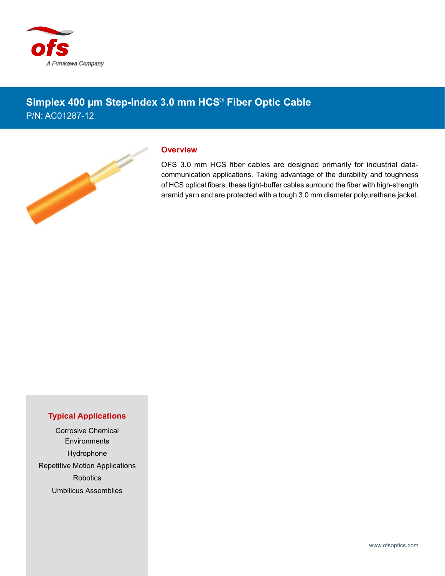

## **Simplex 400 µm Step-Index 3.0 mm HCS® Fiber Optic Cable** P/N: AC01287-12



## **Overview**

OFS 3.0 mm HCS fiber cables are designed primarily for industrial datacommunication applications. Taking advantage of the durability and toughness of HCS optical fibers, these tight-buffer cables surround the fiber with high-strength aramid yarn and are protected with a tough 3.0 mm diameter polyurethane jacket.

## **Typical Applications**

Corrosive Chemical **Environments** Hydrophone Repetitive Motion Applications Robotics Umbilicus Assemblies